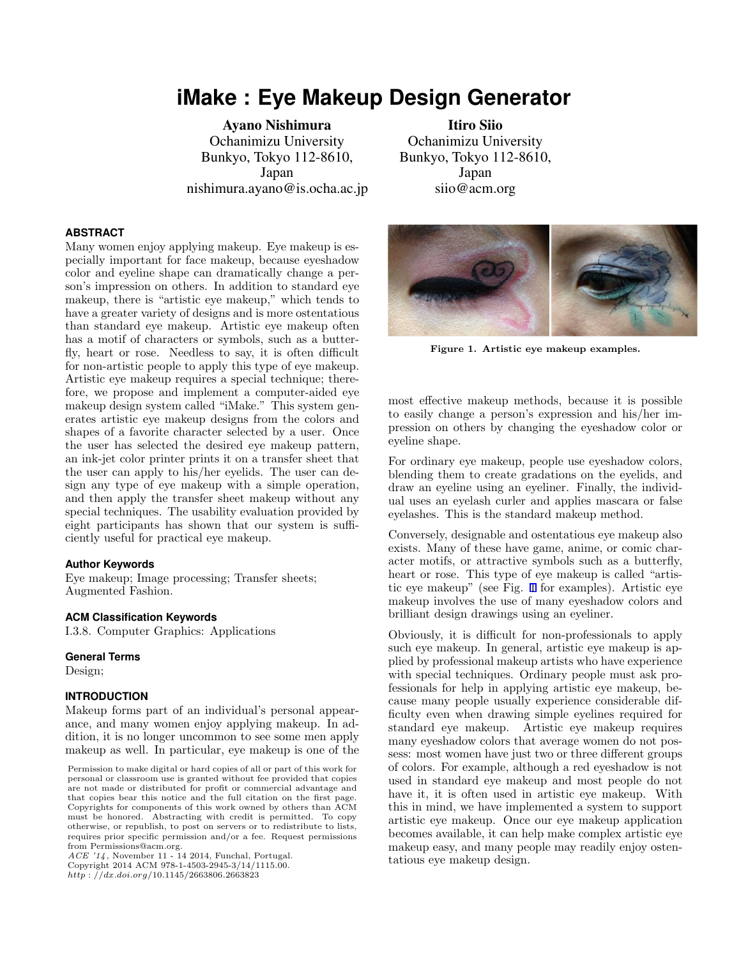# **iMake : Eye Makeup Design Generator**

Ayano Nishimura Ochanimizu University Bunkyo, Tokyo 112-8610, Japan nishimura.ayano@is.ocha.ac.jp

## **ABSTRACT**

Many women enjoy applying makeup. Eye makeup is especially important for face makeup, because eyeshadow color and eyeline shape can dramatically change a person's impression on others. In addition to standard eye makeup, there is "artistic eye makeup," which tends to have a greater variety of designs and is more ostentatious than standard eye makeup. Artistic eye makeup often has a motif of characters or symbols, such as a butterfly, heart or rose. Needless to say, it is often difficult for non-artistic people to apply this type of eye makeup. Artistic eye makeup requires a special technique; therefore, we propose and implement a computer-aided eye makeup design system called "iMake." This system generates artistic eye makeup designs from the colors and shapes of a favorite character selected by a user. Once the user has selected the desired eye makeup pattern, an ink-jet color printer prints it on a transfer sheet that the user can apply to his/her eyelids. The user can design any type of eye makeup with a simple operation, and then apply the transfer sheet makeup without any special techniques. The usability evaluation provided by eight participants has shown that our system is sufficiently useful for practical eye makeup.

## **Author Keywords**

Eye makeup; Image processing; Transfer sheets; Augmented Fashion.

## **ACM Classification Keywords**

I.3.8. Computer Graphics: Applications

#### **General Terms**

Design;

#### **INTRODUCTION**

Makeup forms part of an individual's personal appearance, and many women enjoy applying makeup. In addition, it is no longer uncommon to see some men apply makeup as well. In particular, eye makeup is one of the

*http* : *//dx.doi.org/*10*.*1145*/*2663806*.*2663823

Itiro Siio Ochanimizu University Bunkyo, Tokyo 112-8610, Japan siio@acm.org



**Figure 1. Artistic eye makeup examples.**

most effective makeup methods, because it is possible to easily change a person's expression and his/her impression on others by changing the eyeshadow color or eyeline shape.

For ordinary eye makeup, people use eyeshadow colors, blending them to create gradations on the eyelids, and draw an eyeline using an eyeliner. Finally, the individual uses an eyelash curler and applies mascara or false eyelashes. This is the standard makeup method.

Conversely, designable and ostentatious eye makeup also exists. Many of these have game, anime, or comic character motifs, or attractive symbols such as a butterfly, heart or rose. This type of eye makeup is called "artistic eye makeup" (see Fig. 1 for examples). Artistic eye makeup involves the use of many eyeshadow colors and brilliant design drawings using an eyeliner.

Obviously, it is difficult for non-professionals to apply such eye makeup. In general, artistic eye makeup is applied by professional makeup artists who have experience with special techniques. Ordinary people must ask professionals for help in applying artistic eye makeup, because many people usually experience considerable difficulty even when drawing simple eyelines required for standard eye makeup. Artistic eye makeup requires many eyeshadow colors that average women do not possess: most women have just two or three different groups of colors. For example, although a red eyeshadow is not used in standard eye makeup and most people do not have it, it is often used in artistic eye makeup. With this in mind, we have implemented a system to support artistic eye makeup. Once our eye makeup application becomes available, it can help make complex artistic eye makeup easy, and many people may readily enjoy ostentatious eye makeup design.

Permission to make digital or hard copies of all or part of this work for personal or classroom use is granted without fee provided that copies are not made or distributed for profit or commercial advantage and that copies bear this notice and the full citation on the first page. Copyrights for components of this work owned by others than ACM must be honored. Abstracting with credit is permitted. To copy otherwise, or republish, to post on servers or to redistribute to lists, requires prior specific permission and/or a fee. Request permissions from Permissions@acm.org.

*ACE '14*, November 11 - 14 2014, Funchal, Portugal. Copyright 2014 ACM 978-1-4503-2945-3/14/1115*.*00*.*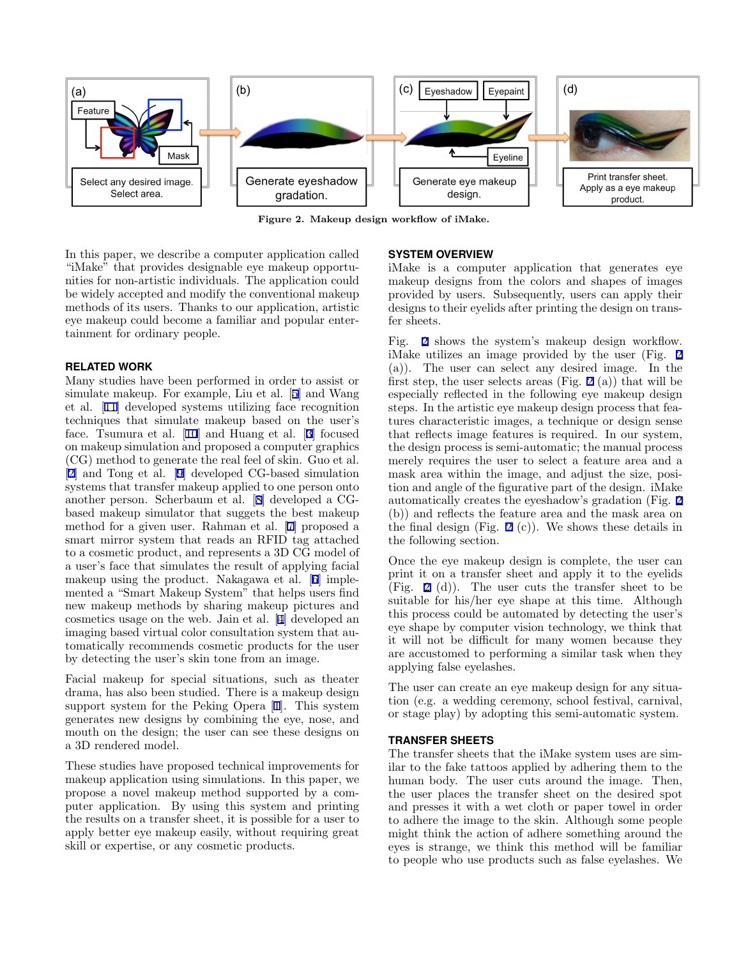<span id="page-1-0"></span>

**Figure 2. Makeup design workflow of iMake.**

In this paper, we describe a computer application called "iMake" that provides designable eye makeup opportunities for non-artistic individuals. The application could be widely accepted and modify the conventional makeup methods of its users. Thanks to our application, artistic eye makeup could become a familiar and popular entertainment for ordinary people.

### **RELATED WORK**

Many studies have been performed in order to assist or simulate makeup. For example, Liu et al. [[5\]](#page-5-0) and Wang et al. [\[11](#page-5-0)] developed systems utilizing face recognition techniques that simulate makeup based on the user's face. Tsumura et al. [\[10](#page-5-0)] and Huang et al. [\[3](#page-5-0)] focused on makeup simulation and proposed a computer graphics (CG) method to generate the real feel of skin. Guo et al. [[2\]](#page-5-0) and Tong et al. [\[9](#page-5-0)] developed CG-based simulation systems that transfer makeup applied to one person onto another person. Scherbaum et al. [\[8](#page-5-0)] developed a CGbased makeup simulator that suggets the best makeup method for a given user. Rahman et al. [[7\]](#page-5-0) proposed a smart mirror system that reads an RFID tag attached to a cosmetic product, and represents a 3D CG model of a user's face that simulates the result of applying facial makeup using the product. Nakagawa et al. [\[6\]](#page-5-0) implemented a "Smart Makeup System" that helps users find new makeup methods by sharing makeup pictures and cosmetics usage on the web. Jain et al. [[4\]](#page-5-0) developed an imaging based virtual color consultation system that automatically recommends cosmetic products for the user by detecting the user's skin tone from an image.

Facial makeup for special situations, such as theater drama, has also been studied. There is a makeup design support system for the Peking Opera [\[1](#page-5-0)]. This system generates new designs by combining the eye, nose, and mouth on the design; the user can see these designs on a 3D rendered model.

These studies have proposed technical improvements for makeup application using simulations. In this paper, we propose a novel makeup method supported by a computer application. By using this system and printing the results on a transfer sheet, it is possible for a user to apply better eye makeup easily, without requiring great skill or expertise, or any cosmetic products.

## **SYSTEM OVERVIEW**

iMake is a computer application that generates eye makeup designs from the colors and shapes of images provided by users. Subsequently, users can apply their designs to their eyelids after printing the design on transfer sheets.

Fig. 2 shows the system's makeup design workflow. iMake utilizes an image provided by the user (Fig. 2 (a)). The user can select any desired image. In the first step, the user selects areas (Fig. 2  $(a)$ ) that will be especially reflected in the following eye makeup design steps. In the artistic eye makeup design process that features characteristic images, a technique or design sense that reflects image features is required. In our system, the design process is semi-automatic; the manual process merely requires the user to select a feature area and a mask area within the image, and adjust the size, position and angle of the figurative part of the design. iMake automatically creates the eyeshadow's gradation (Fig. 2 (b)) and reflects the feature area and the mask area on the final design (Fig. 2 (c)). We shows these details in the following section.

Once the eye makeup design is complete, the user can print it on a transfer sheet and apply it to the eyelids (Fig. 2 (d)). The user cuts the transfer sheet to be suitable for his/her eye shape at this time. Although this process could be automated by detecting the user's eye shape by computer vision technology, we think that it will not be difficult for many women because they are accustomed to performing a similar task when they applying false eyelashes.

The user can create an eye makeup design for any situation (e.g. a wedding ceremony, school festival, carnival, or stage play) by adopting this semi-automatic system.

#### **TRANSFER SHEETS**

The transfer sheets that the iMake system uses are similar to the fake tattoos applied by adhering them to the human body. The user cuts around the image. Then, the user places the transfer sheet on the desired spot and presses it with a wet cloth or paper towel in order to adhere the image to the skin. Although some people might think the action of adhere something around the eyes is strange, we think this method will be familiar to people who use products such as false eyelashes. We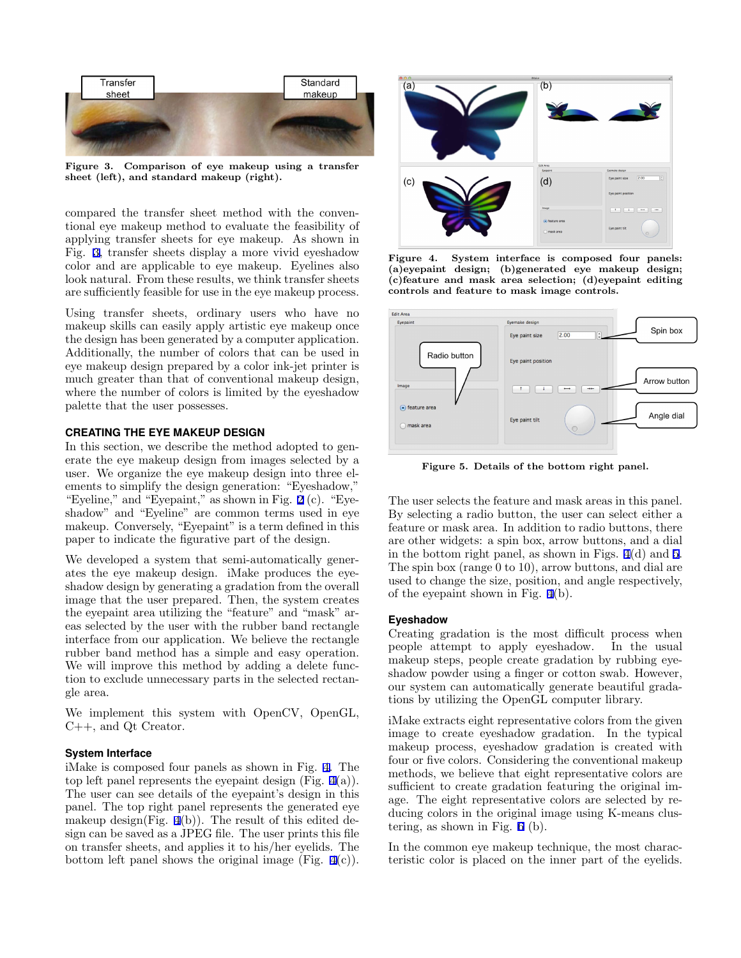

**Figure 3. Comparison of eye makeup using a transfer sheet (left), and standard makeup (right).**

compared the transfer sheet method with the conventional eye makeup method to evaluate the feasibility of applying transfer sheets for eye makeup. As shown in Fig. 3, transfer sheets display a more vivid eyeshadow color and are applicable to eye makeup. Eyelines also look natural. From these results, we think transfer sheets are sufficiently feasible for use in the eye makeup process.

Using transfer sheets, ordinary users who have no makeup skills can easily apply artistic eye makeup once the design has been generated by a computer application. Additionally, the number of colors that can be used in eye makeup design prepared by a color ink-jet printer is much greater than that of conventional makeup design, where the number of colors is limited by the eyeshadow palette that the user possesses.

## **CREATING THE EYE MAKEUP DESIGN**

In this section, we describe the method adopted to generate the eye makeup design from images selected by a user. We organize the eye makeup design into three elements to simplify the design generation: "Eyeshadow," "Eyeline," and "Eyepaint," as shown in Fig. [2](#page-1-0) (c). "Eyeshadow" and "Eyeline" are common terms used in eye makeup. Conversely, "Eyepaint" is a term defined in this paper to indicate the figurative part of the design.

We developed a system that semi-automatically generates the eye makeup design. iMake produces the eyeshadow design by generating a gradation from the overall image that the user prepared. Then, the system creates the eyepaint area utilizing the "feature" and "mask" areas selected by the user with the rubber band rectangle interface from our application. We believe the rectangle rubber band method has a simple and easy operation. We will improve this method by adding a delete function to exclude unnecessary parts in the selected rectangle area.

We implement this system with OpenCV, OpenGL, C++, and Qt Creator.

## **System Interface**

iMake is composed four panels as shown in Fig. 4. The top left panel represents the eyepaint design (Fig. 4(a)). The user can see details of the eyepaint's design in this panel. The top right panel represents the generated eye makeup design(Fig.  $4(b)$ ). The result of this edited design can be saved as a JPEG file. The user prints this file on transfer sheets, and applies it to his/her eyelids. The bottom left panel shows the original image (Fig. 4(c)).



**Figure 4. System interface is composed four panels: (a)eyepaint design; (b)generated eye makeup design; (c)feature and mask area selection; (d)eyepaint editing controls and feature to mask image controls.**



**Figure 5. Details of the bottom right panel.**

The user selects the feature and mask areas in this panel. By selecting a radio button, the user can select either a feature or mask area. In addition to radio buttons, there are other widgets: a spin box, arrow buttons, and a dial in the bottom right panel, as shown in Figs. 4(d) and 5. The spin box (range 0 to 10), arrow buttons, and dial are used to change the size, position, and angle respectively, of the eyepaint shown in Fig. 4(b).

## **Eyeshadow**

Creating gradation is the most difficult process when people attempt to apply eyeshadow. In the usual makeup steps, people create gradation by rubbing eyeshadow powder using a finger or cotton swab. However, our system can automatically generate beautiful gradations by utilizing the OpenGL computer library.

iMake extracts eight representative colors from the given image to create eyeshadow gradation. In the typical makeup process, eyeshadow gradation is created with four or five colors. Considering the conventional makeup methods, we believe that eight representative colors are sufficient to create gradation featuring the original image. The eight representative colors are selected by reducing colors in the original image using K-means clustering, as shown in Fig. [6](#page-3-0) (b).

In the common eye makeup technique, the most characteristic color is placed on the inner part of the eyelids.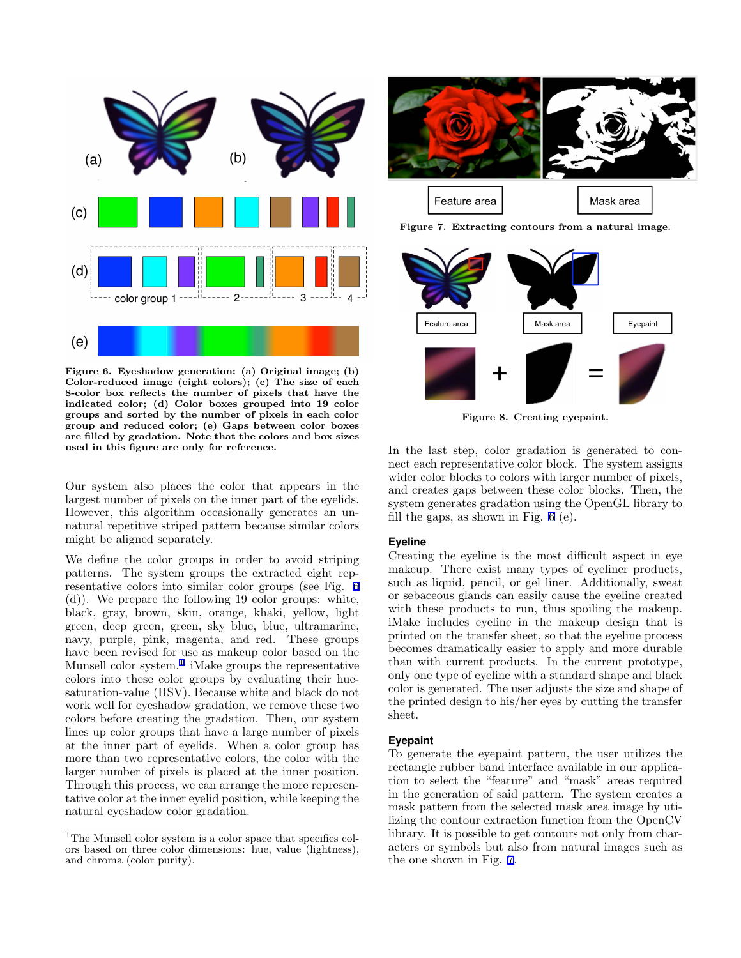<span id="page-3-0"></span>

**Figure 6. Eyeshadow generation: (a) Original image; (b) Color-reduced image (eight colors); (c) The size of each 8-color box reflects the number of pixels that have the indicated color; (d) Color boxes grouped into 19 color groups and sorted by the number of pixels in each color group and reduced color; (e) Gaps between color boxes are filled by gradation. Note that the colors and box sizes used in this figure are only for reference.**

Our system also places the color that appears in the largest number of pixels on the inner part of the eyelids. However, this algorithm occasionally generates an unnatural repetitive striped pattern because similar colors might be aligned separately.

We define the color groups in order to avoid striping patterns. The system groups the extracted eight representative colors into similar color groups (see Fig. 6 (d)). We prepare the following 19 color groups: white, black, gray, brown, skin, orange, khaki, yellow, light green, deep green, green, sky blue, blue, ultramarine, navy, purple, pink, magenta, and red. These groups have been revised for use as makeup color based on the Munsell color system.<sup>1</sup> iMake groups the representative colors into these color groups by evaluating their huesaturation-value (HSV). Because white and black do not work well for eyeshadow gradation, we remove these two colors before creating the gradation. Then, our system lines up color groups that have a large number of pixels at the inner part of eyelids. When a color group has more than two representative colors, the color with the larger number of pixels is placed at the inner position. Through this process, we can arrange the more representative color at the inner eyelid position, while keeping the natural eyeshadow color gradation.



**Figure 7. Extracting contours from a natural image.**



**Figure 8. Creating eyepaint.**

In the last step, color gradation is generated to connect each representative color block. The system assigns wider color blocks to colors with larger number of pixels, and creates gaps between these color blocks. Then, the system generates gradation using the OpenGL library to fill the gaps, as shown in Fig. 6 (e).

#### **Eyeline**

Creating the eyeline is the most difficult aspect in eye makeup. There exist many types of eyeliner products, such as liquid, pencil, or gel liner. Additionally, sweat or sebaceous glands can easily cause the eyeline created with these products to run, thus spoiling the makeup. iMake includes eyeline in the makeup design that is printed on the transfer sheet, so that the eyeline process becomes dramatically easier to apply and more durable than with current products. In the current prototype, only one type of eyeline with a standard shape and black color is generated. The user adjusts the size and shape of the printed design to his/her eyes by cutting the transfer sheet.

#### **Eyepaint**

To generate the eyepaint pattern, the user utilizes the rectangle rubber band interface available in our application to select the "feature" and "mask" areas required in the generation of said pattern. The system creates a mask pattern from the selected mask area image by utilizing the contour extraction function from the OpenCV library. It is possible to get contours not only from characters or symbols but also from natural images such as the one shown in Fig. 7.

 $^1\rm{The}$  Munsell color system is a color space that specifies colors based on three color dimensions: hue, value (lightness), and chroma (color purity).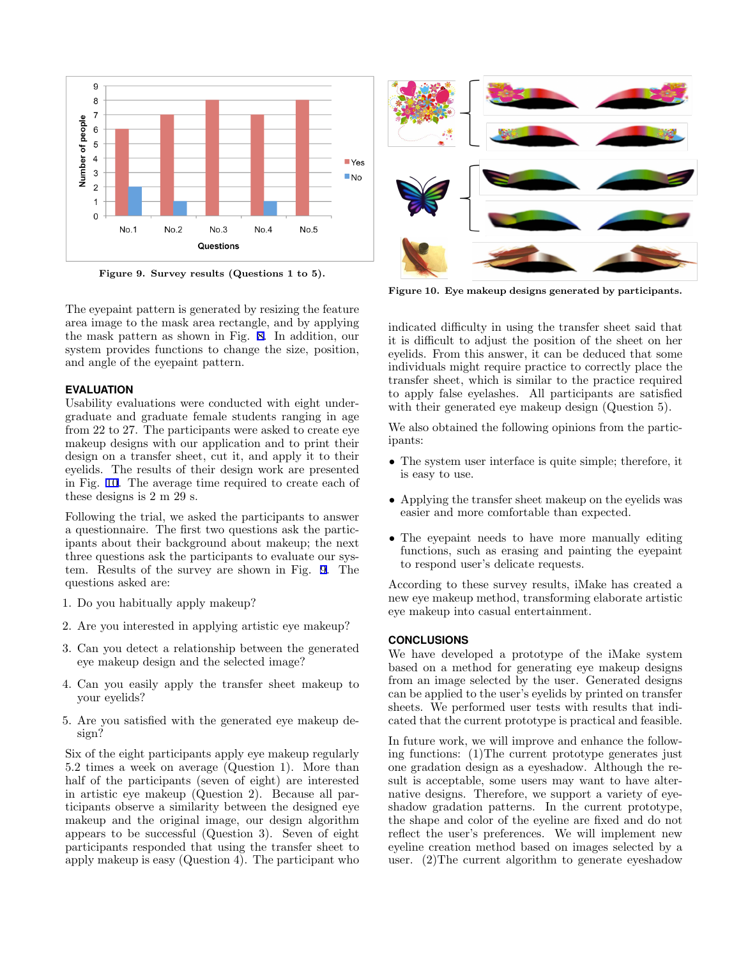

**Figure 9. Survey results (Questions 1 to 5).**

The eyepaint pattern is generated by resizing the feature area image to the mask area rectangle, and by applying the mask pattern as shown in Fig. [8.](#page-3-0) In addition, our system provides functions to change the size, position, and angle of the eyepaint pattern.

## **EVALUATION**

Usability evaluations were conducted with eight undergraduate and graduate female students ranging in age from 22 to 27. The participants were asked to create eye makeup designs with our application and to print their design on a transfer sheet, cut it, and apply it to their eyelids. The results of their design work are presented in Fig. 10. The average time required to create each of these designs is 2 m 29 s.

Following the trial, we asked the participants to answer a questionnaire. The first two questions ask the participants about their background about makeup; the next three questions ask the participants to evaluate our system. Results of the survey are shown in Fig. 9. The questions asked are:

- 1. Do you habitually apply makeup?
- 2. Are you interested in applying artistic eye makeup?
- 3. Can you detect a relationship between the generated eye makeup design and the selected image?
- 4. Can you easily apply the transfer sheet makeup to your eyelids?
- 5. Are you satisfied with the generated eye makeup design?

Six of the eight participants apply eye makeup regularly 5.2 times a week on average (Question 1). More than half of the participants (seven of eight) are interested in artistic eye makeup (Question 2). Because all participants observe a similarity between the designed eye makeup and the original image, our design algorithm appears to be successful (Question 3). Seven of eight participants responded that using the transfer sheet to apply makeup is easy (Question 4). The participant who



**Figure 10. Eye makeup designs generated by participants.**

indicated difficulty in using the transfer sheet said that it is difficult to adjust the position of the sheet on her eyelids. From this answer, it can be deduced that some individuals might require practice to correctly place the transfer sheet, which is similar to the practice required to apply false eyelashes. All participants are satisfied with their generated eye makeup design (Question 5).

We also obtained the following opinions from the participants:

- *•* The system user interface is quite simple; therefore, it is easy to use.
- *•* Applying the transfer sheet makeup on the eyelids was easier and more comfortable than expected.
- The eyepaint needs to have more manually editing functions, such as erasing and painting the eyepaint to respond user's delicate requests.

According to these survey results, iMake has created a new eye makeup method, transforming elaborate artistic eye makeup into casual entertainment.

## **CONCLUSIONS**

We have developed a prototype of the iMake system based on a method for generating eye makeup designs from an image selected by the user. Generated designs can be applied to the user's eyelids by printed on transfer sheets. We performed user tests with results that indicated that the current prototype is practical and feasible.

In future work, we will improve and enhance the following functions: (1)The current prototype generates just one gradation design as a eyeshadow. Although the result is acceptable, some users may want to have alternative designs. Therefore, we support a variety of eyeshadow gradation patterns. In the current prototype, the shape and color of the eyeline are fixed and do not reflect the user's preferences. We will implement new eyeline creation method based on images selected by a user. (2)The current algorithm to generate eyeshadow